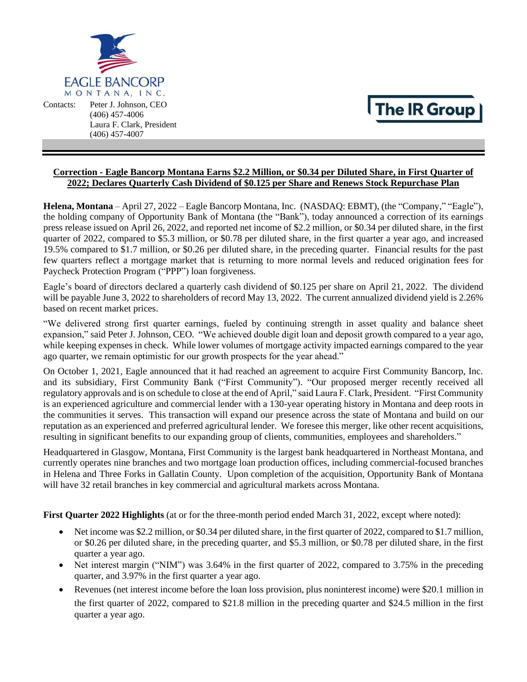

Contacts: Peter J. Johnson, CEO (406) 457-4006 Laura F. Clark, President (406) 457-4007

# The IR Group

### **Correction - Eagle Bancorp Montana Earns \$2.2 Million, or \$0.34 per Diluted Share, in First Quarter of 2022; Declares Quarterly Cash Dividend of \$0.125 per Share and Renews Stock Repurchase Plan**

**Helena, Montana** – April 27, 2022 – Eagle Bancorp Montana, Inc. (NASDAQ: EBMT), (the "Company," "Eagle"), the holding company of Opportunity Bank of Montana (the "Bank"), today announced a correction of its earnings press release issued on April 26, 2022, and reported net income of \$2.2 million, or \$0.34 per diluted share, in the first quarter of 2022, compared to \$5.3 million, or \$0.78 per diluted share, in the first quarter a year ago, and increased 19.5% compared to \$1.7 million, or \$0.26 per diluted share, in the preceding quarter. Financial results for the past few quarters reflect a mortgage market that is returning to more normal levels and reduced origination fees for Paycheck Protection Program ("PPP") loan forgiveness.

Eagle's board of directors declared a quarterly cash dividend of \$0.125 per share on April 21, 2022. The dividend will be payable June 3, 2022 to shareholders of record May 13, 2022. The current annualized dividend yield is 2.26% based on recent market prices.

"We delivered strong first quarter earnings, fueled by continuing strength in asset quality and balance sheet expansion," said Peter J. Johnson, CEO. "We achieved double digit loan and deposit growth compared to a year ago, while keeping expenses in check. While lower volumes of mortgage activity impacted earnings compared to the year ago quarter, we remain optimistic for our growth prospects for the year ahead."

On October 1, 2021, Eagle announced that it had reached an agreement to acquire First Community Bancorp, Inc. and its subsidiary, First Community Bank ("First Community"). "Our proposed merger recently received all regulatory approvals and is on schedule to close at the end of April," said Laura F. Clark, President. "First Community is an experienced agriculture and commercial lender with a 130-year operating history in Montana and deep roots in the communities it serves. This transaction will expand our presence across the state of Montana and build on our reputation as an experienced and preferred agricultural lender. We foresee this merger, like other recent acquisitions, resulting in significant benefits to our expanding group of clients, communities, employees and shareholders."

Headquartered in Glasgow, Montana, First Community is the largest bank headquartered in Northeast Montana, and currently operates nine branches and two mortgage loan production offices, including commercial-focused branches in Helena and Three Forks in Gallatin County. Upon completion of the acquisition, Opportunity Bank of Montana will have 32 retail branches in key commercial and agricultural markets across Montana.

**First Quarter 2022 Highlights** (at or for the three-month period ended March 31, 2022, except where noted):

- Net income was \$2.2 million, or \$0.34 per diluted share, in the first quarter of 2022, compared to \$1.7 million, or \$0.26 per diluted share, in the preceding quarter, and \$5.3 million, or \$0.78 per diluted share, in the first quarter a year ago.
- Net interest margin ("NIM") was 3.64% in the first quarter of 2022, compared to 3.75% in the preceding quarter, and 3.97% in the first quarter a year ago.
- Revenues (net interest income before the loan loss provision, plus noninterest income) were \$20.1 million in the first quarter of 2022, compared to \$21.8 million in the preceding quarter and \$24.5 million in the first quarter a year ago.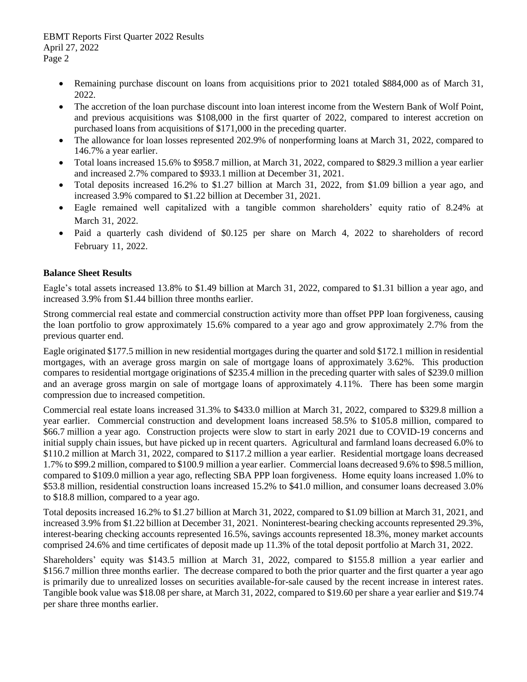- Remaining purchase discount on loans from acquisitions prior to 2021 totaled \$884,000 as of March 31, 2022.
- The accretion of the loan purchase discount into loan interest income from the Western Bank of Wolf Point, and previous acquisitions was \$108,000 in the first quarter of 2022, compared to interest accretion on purchased loans from acquisitions of \$171,000 in the preceding quarter.
- The allowance for loan losses represented 202.9% of nonperforming loans at March 31, 2022, compared to 146.7% a year earlier.
- Total loans increased 15.6% to \$958.7 million, at March 31, 2022, compared to \$829.3 million a year earlier and increased 2.7% compared to \$933.1 million at December 31, 2021.
- Total deposits increased 16.2% to \$1.27 billion at March 31, 2022, from \$1.09 billion a year ago, and increased 3.9% compared to \$1.22 billion at December 31, 2021.
- Eagle remained well capitalized with a tangible common shareholders' equity ratio of 8.24% at March 31, 2022.
- Paid a quarterly cash dividend of \$0.125 per share on March 4, 2022 to shareholders of record February 11, 2022.

# **Balance Sheet Results**

Eagle's total assets increased 13.8% to \$1.49 billion at March 31, 2022, compared to \$1.31 billion a year ago, and increased 3.9% from \$1.44 billion three months earlier.

Strong commercial real estate and commercial construction activity more than offset PPP loan forgiveness, causing the loan portfolio to grow approximately 15.6% compared to a year ago and grow approximately 2.7% from the previous quarter end.

Eagle originated \$177.5 million in new residential mortgages during the quarter and sold \$172.1 million in residential mortgages, with an average gross margin on sale of mortgage loans of approximately 3.62%. This production compares to residential mortgage originations of \$235.4 million in the preceding quarter with sales of \$239.0 million and an average gross margin on sale of mortgage loans of approximately 4.11%. There has been some margin compression due to increased competition.

Commercial real estate loans increased 31.3% to \$433.0 million at March 31, 2022, compared to \$329.8 million a year earlier. Commercial construction and development loans increased 58.5% to \$105.8 million, compared to \$66.7 million a year ago. Construction projects were slow to start in early 2021 due to COVID-19 concerns and initial supply chain issues, but have picked up in recent quarters. Agricultural and farmland loans decreased 6.0% to \$110.2 million at March 31, 2022, compared to \$117.2 million a year earlier. Residential mortgage loans decreased 1.7% to \$99.2 million, compared to \$100.9 million a year earlier. Commercial loans decreased 9.6% to \$98.5 million, compared to \$109.0 million a year ago, reflecting SBA PPP loan forgiveness. Home equity loans increased 1.0% to \$53.8 million, residential construction loans increased 15.2% to \$41.0 million, and consumer loans decreased 3.0% to \$18.8 million, compared to a year ago.

Total deposits increased 16.2% to \$1.27 billion at March 31, 2022, compared to \$1.09 billion at March 31, 2021, and increased 3.9% from \$1.22 billion at December 31, 2021. Noninterest-bearing checking accounts represented 29.3%, interest-bearing checking accounts represented 16.5%, savings accounts represented 18.3%, money market accounts comprised 24.6% and time certificates of deposit made up 11.3% of the total deposit portfolio at March 31, 2022.

Shareholders' equity was \$143.5 million at March 31, 2022, compared to \$155.8 million a year earlier and \$156.7 million three months earlier. The decrease compared to both the prior quarter and the first quarter a year ago is primarily due to unrealized losses on securities available-for-sale caused by the recent increase in interest rates. Tangible book value was \$18.08 per share, at March 31, 2022, compared to \$19.60 per share a year earlier and \$19.74 per share three months earlier.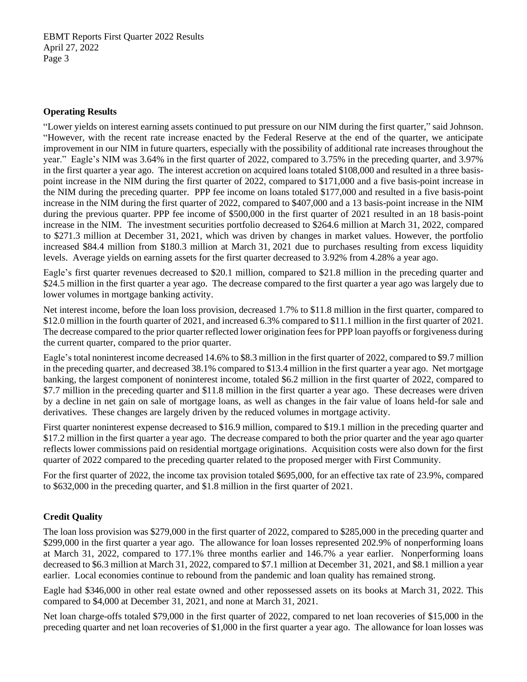#### **Operating Results**

"Lower yields on interest earning assets continued to put pressure on our NIM during the first quarter," said Johnson. "However, with the recent rate increase enacted by the Federal Reserve at the end of the quarter, we anticipate improvement in our NIM in future quarters, especially with the possibility of additional rate increases throughout the year." Eagle's NIM was 3.64% in the first quarter of 2022, compared to 3.75% in the preceding quarter, and 3.97% in the first quarter a year ago. The interest accretion on acquired loans totaled \$108,000 and resulted in a three basispoint increase in the NIM during the first quarter of 2022, compared to \$171,000 and a five basis-point increase in the NIM during the preceding quarter. PPP fee income on loans totaled \$177,000 and resulted in a five basis-point increase in the NIM during the first quarter of 2022, compared to \$407,000 and a 13 basis-point increase in the NIM during the previous quarter. PPP fee income of \$500,000 in the first quarter of 2021 resulted in an 18 basis-point increase in the NIM. The investment securities portfolio decreased to \$264.6 million at March 31, 2022, compared to \$271.3 million at December 31, 2021, which was driven by changes in market values. However, the portfolio increased \$84.4 million from \$180.3 million at March 31, 2021 due to purchases resulting from excess liquidity levels. Average yields on earning assets for the first quarter decreased to 3.92% from 4.28% a year ago.

Eagle's first quarter revenues decreased to \$20.1 million, compared to \$21.8 million in the preceding quarter and \$24.5 million in the first quarter a year ago. The decrease compared to the first quarter a year ago was largely due to lower volumes in mortgage banking activity.

Net interest income, before the loan loss provision, decreased 1.7% to \$11.8 million in the first quarter, compared to \$12.0 million in the fourth quarter of 2021, and increased 6.3% compared to \$11.1 million in the first quarter of 2021. The decrease compared to the prior quarter reflected lower origination fees for PPP loan payoffs or forgiveness during the current quarter, compared to the prior quarter.

Eagle's total noninterest income decreased 14.6% to \$8.3 million in the first quarter of 2022, compared to \$9.7 million in the preceding quarter, and decreased 38.1% compared to \$13.4 million in the first quarter a year ago. Net mortgage banking, the largest component of noninterest income, totaled \$6.2 million in the first quarter of 2022, compared to \$7.7 million in the preceding quarter and \$11.8 million in the first quarter a year ago. These decreases were driven by a decline in net gain on sale of mortgage loans, as well as changes in the fair value of loans held-for sale and derivatives. These changes are largely driven by the reduced volumes in mortgage activity.

First quarter noninterest expense decreased to \$16.9 million, compared to \$19.1 million in the preceding quarter and \$17.2 million in the first quarter a year ago. The decrease compared to both the prior quarter and the year ago quarter reflects lower commissions paid on residential mortgage originations. Acquisition costs were also down for the first quarter of 2022 compared to the preceding quarter related to the proposed merger with First Community.

For the first quarter of 2022, the income tax provision totaled \$695,000, for an effective tax rate of 23.9%, compared to \$632,000 in the preceding quarter, and \$1.8 million in the first quarter of 2021.

# **Credit Quality**

The loan loss provision was \$279,000 in the first quarter of 2022, compared to \$285,000 in the preceding quarter and \$299,000 in the first quarter a year ago. The allowance for loan losses represented 202.9% of nonperforming loans at March 31, 2022, compared to 177.1% three months earlier and 146.7% a year earlier. Nonperforming loans decreased to \$6.3 million at March 31, 2022, compared to \$7.1 million at December 31, 2021, and \$8.1 million a year earlier. Local economies continue to rebound from the pandemic and loan quality has remained strong.

Eagle had \$346,000 in other real estate owned and other repossessed assets on its books at March 31, 2022. This compared to \$4,000 at December 31, 2021, and none at March 31, 2021.

Net loan charge-offs totaled \$79,000 in the first quarter of 2022, compared to net loan recoveries of \$15,000 in the preceding quarter and net loan recoveries of \$1,000 in the first quarter a year ago. The allowance for loan losses was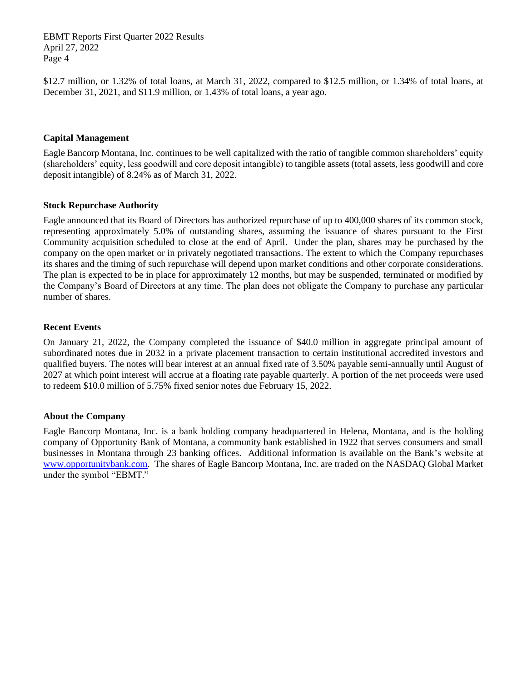\$12.7 million, or 1.32% of total loans, at March 31, 2022, compared to \$12.5 million, or 1.34% of total loans, at December 31, 2021, and \$11.9 million, or 1.43% of total loans, a year ago.

#### **Capital Management**

Eagle Bancorp Montana, Inc. continues to be well capitalized with the ratio of tangible common shareholders' equity (shareholders' equity, less goodwill and core deposit intangible) to tangible assets (total assets, less goodwill and core deposit intangible) of 8.24% as of March 31, 2022.

#### **Stock Repurchase Authority**

Eagle announced that its Board of Directors has authorized repurchase of up to 400,000 shares of its common stock, representing approximately 5.0% of outstanding shares, assuming the issuance of shares pursuant to the First Community acquisition scheduled to close at the end of April. Under the plan, shares may be purchased by the company on the open market or in privately negotiated transactions. The extent to which the Company repurchases its shares and the timing of such repurchase will depend upon market conditions and other corporate considerations. The plan is expected to be in place for approximately 12 months, but may be suspended, terminated or modified by the Company's Board of Directors at any time. The plan does not obligate the Company to purchase any particular number of shares.

#### **Recent Events**

On January 21, 2022, the Company completed the issuance of \$40.0 million in aggregate principal amount of subordinated notes due in 2032 in a private placement transaction to certain institutional accredited investors and qualified buyers. The notes will bear interest at an annual fixed rate of 3.50% payable semi-annually until August of 2027 at which point interest will accrue at a floating rate payable quarterly. A portion of the net proceeds were used to redeem \$10.0 million of 5.75% fixed senior notes due February 15, 2022.

#### **About the Company**

Eagle Bancorp Montana, Inc. is a bank holding company headquartered in Helena, Montana, and is the holding company of Opportunity Bank of Montana, a community bank established in 1922 that serves consumers and small businesses in Montana through 23 banking offices. Additional information is available on the Bank's website at [www.opportunitybank.com.](http://www.opportunitybank.com/) The shares of Eagle Bancorp Montana, Inc. are traded on the NASDAQ Global Market under the symbol "EBMT."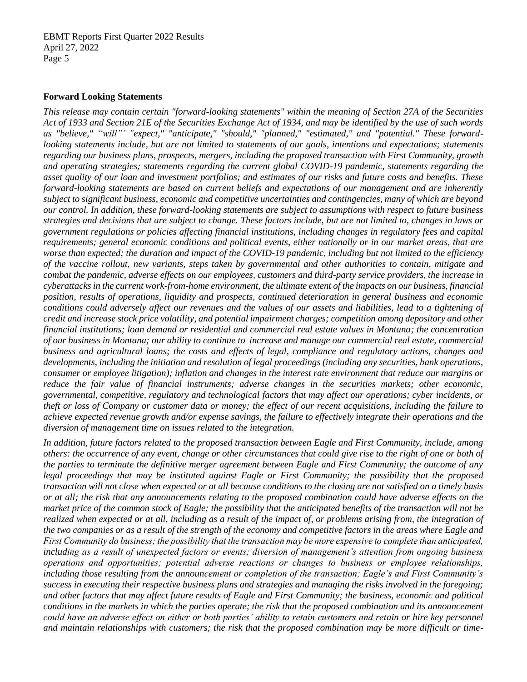#### **Forward Looking Statements**

*This release may contain certain "forward-looking statements" within the meaning of Section 27A of the Securities Act of 1933 and Section 21E of the Securities Exchange Act of 1934, and may be identified by the use of such words as "believe," "will"' "expect," "anticipate," "should," "planned," "estimated," and "potential." These forwardlooking statements include, but are not limited to statements of our goals, intentions and expectations; statements regarding our business plans, prospects, mergers, including the proposed transaction with First Community, growth and operating strategies; statements regarding the current global COVID-19 pandemic, statements regarding the asset quality of our loan and investment portfolios; and estimates of our risks and future costs and benefits. These forward-looking statements are based on current beliefs and expectations of our management and are inherently subject to significant business, economic and competitive uncertainties and contingencies, many of which are beyond our control. In addition, these forward-looking statements are subject to assumptions with respect to future business strategies and decisions that are subject to change. These factors include, but are not limited to, changes in laws or government regulations or policies affecting financial institutions, including changes in regulatory fees and capital requirements; general economic conditions and political events, either nationally or in our market areas, that are worse than expected; the duration and impact of the COVID-19 pandemic, including but not limited to the efficiency of the vaccine rollout, new variants, steps taken by governmental and other authorities to contain, mitigate and combat the pandemic, adverse effects on our employees, customers and third-party service providers, the increase in cyberattacks in the current work-from-home environment, the ultimate extent of the impacts on our business, financial position, results of operations, liquidity and prospects, continued deterioration in general business and economic conditions could adversely affect our revenues and the values of our assets and liabilities, lead to a tightening of credit and increase stock price volatility, and potential impairment charges; competition among depository and other financial institutions; loan demand or residential and commercial real estate values in Montana; the concentration of our business in Montana; our ability to continue to increase and manage our commercial real estate, commercial business and agricultural loans; the costs and effects of legal, compliance and regulatory actions, changes and developments, including the initiation and resolution of legal proceedings (including any securities, bank operations, consumer or employee litigation); inflation and changes in the interest rate environment that reduce our margins or reduce the fair value of financial instruments; adverse changes in the securities markets; other economic, governmental, competitive, regulatory and technological factors that may affect our operations; cyber incidents, or theft or loss of Company or customer data or money; the effect of our recent acquisitions, including the failure to achieve expected revenue growth and/or expense savings, the failure to effectively integrate their operations and the diversion of management time on issues related to the integration.* 

*In addition, future factors related to the proposed transaction between Eagle and First Community, include, among others: the occurrence of any event, change or other circumstances that could give rise to the right of one or both of the parties to terminate the definitive merger agreement between Eagle and First Community; the outcome of any legal proceedings that may be instituted against Eagle or First Community; the possibility that the proposed transaction will not close when expected or at all because conditions to the closing are not satisfied on a timely basis or at all; the risk that any announcements relating to the proposed combination could have adverse effects on the market price of the common stock of Eagle; the possibility that the anticipated benefits of the transaction will not be realized when expected or at all, including as a result of the impact of, or problems arising from, the integration of the two companies or as a result of the strength of the economy and competitive factors in the areas where Eagle and First Community do business; the possibility that the transaction may be more expensive to complete than anticipated, including as a result of unexpected factors or events; diversion of management's attention from ongoing business operations and opportunities; potential adverse reactions or changes to business or employee relationships, including those resulting from the announcement or completion of the transaction; Eagle's and First Community's success in executing their respective business plans and strategies and managing the risks involved in the foregoing; and other factors that may affect future results of Eagle and First Community; the business, economic and political conditions in the markets in which the parties operate; the risk that the proposed combination and its announcement could have an adverse effect on either or both parties' ability to retain customers and retain or hire key personnel and maintain relationships with customers; the risk that the proposed combination may be more difficult or time-*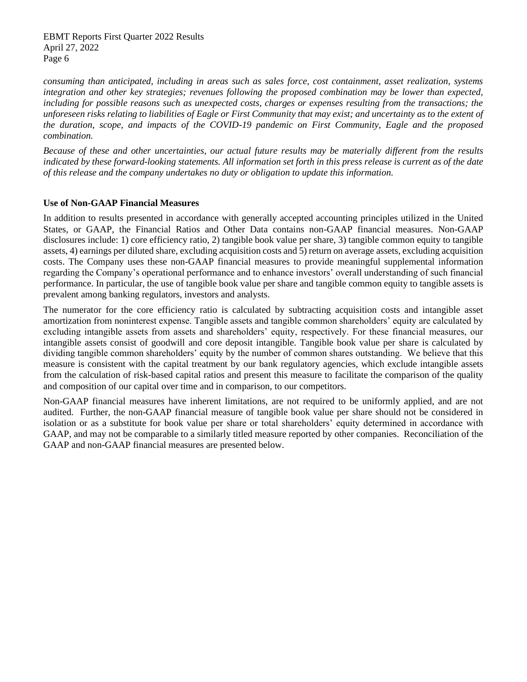*consuming than anticipated, including in areas such as sales force, cost containment, asset realization, systems integration and other key strategies; revenues following the proposed combination may be lower than expected, including for possible reasons such as unexpected costs, charges or expenses resulting from the transactions; the unforeseen risks relating to liabilities of Eagle or First Community that may exist; and uncertainty as to the extent of the duration, scope, and impacts of the COVID-19 pandemic on First Community, Eagle and the proposed combination.* 

*Because of these and other uncertainties, our actual future results may be materially different from the results indicated by these forward-looking statements. All information set forth in this press release is current as of the date of this release and the company undertakes no duty or obligation to update this information.*

## **Use of Non-GAAP Financial Measures**

In addition to results presented in accordance with generally accepted accounting principles utilized in the United States, or GAAP, the Financial Ratios and Other Data contains non-GAAP financial measures. Non-GAAP disclosures include: 1) core efficiency ratio, 2) tangible book value per share, 3) tangible common equity to tangible assets, 4) earnings per diluted share, excluding acquisition costs and 5) return on average assets, excluding acquisition costs. The Company uses these non-GAAP financial measures to provide meaningful supplemental information regarding the Company's operational performance and to enhance investors' overall understanding of such financial performance. In particular, the use of tangible book value per share and tangible common equity to tangible assets is prevalent among banking regulators, investors and analysts.

The numerator for the core efficiency ratio is calculated by subtracting acquisition costs and intangible asset amortization from noninterest expense. Tangible assets and tangible common shareholders' equity are calculated by excluding intangible assets from assets and shareholders' equity, respectively. For these financial measures, our intangible assets consist of goodwill and core deposit intangible. Tangible book value per share is calculated by dividing tangible common shareholders' equity by the number of common shares outstanding. We believe that this measure is consistent with the capital treatment by our bank regulatory agencies, which exclude intangible assets from the calculation of risk-based capital ratios and present this measure to facilitate the comparison of the quality and composition of our capital over time and in comparison, to our competitors.

Non-GAAP financial measures have inherent limitations, are not required to be uniformly applied, and are not audited. Further, the non-GAAP financial measure of tangible book value per share should not be considered in isolation or as a substitute for book value per share or total shareholders' equity determined in accordance with GAAP, and may not be comparable to a similarly titled measure reported by other companies. Reconciliation of the GAAP and non-GAAP financial measures are presented below.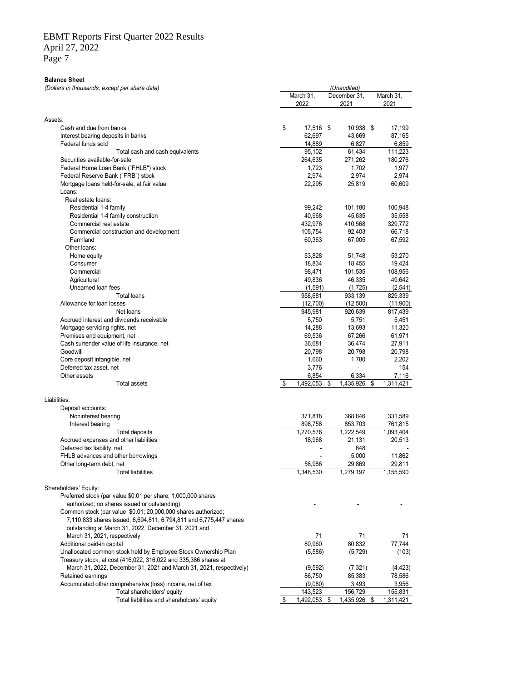Page 7

#### **Balance Sheet**

*(Dollars in thousands, except per share data)*

|                                                                                | March 31,<br>2022 |    | December 31,<br>2021 |  | March 31,<br>2021 |
|--------------------------------------------------------------------------------|-------------------|----|----------------------|--|-------------------|
| Assets:                                                                        |                   |    |                      |  |                   |
| Cash and due from banks                                                        | \$<br>17,516 \$   |    | 10,938 \$            |  | 17,199            |
| Interest bearing deposits in banks                                             | 62,697            |    | 43,669               |  | 87,165            |
| Federal funds sold                                                             | 14,889            |    | 6,827                |  | 6,859             |
| Total cash and cash equivalents                                                | 95,102            |    | 61,434               |  | 111,223           |
| Securities available-for-sale                                                  | 264,635           |    | 271,262              |  | 180,276           |
| Federal Home Loan Bank ("FHLB") stock                                          | 1,723             |    | 1,702                |  | 1,977             |
| Federal Reserve Bank ("FRB") stock                                             | 2,974             |    | 2,974                |  | 2,974             |
| Mortgage Ioans held-for-sale, at fair value                                    | 22,295            |    | 25.819               |  | 60,609            |
| Loans:                                                                         |                   |    |                      |  |                   |
| Real estate loans:                                                             |                   |    |                      |  |                   |
| Residential 1-4 family                                                         | 99,242            |    | 101,180              |  | 100,948           |
| Residential 1-4 family construction                                            | 40,968<br>432,976 |    | 45,635               |  | 35,558            |
| Commercial real estate                                                         |                   |    | 410,568              |  | 329,772<br>66,718 |
| Commercial construction and development<br>Farmland                            | 105,754<br>60,363 |    | 92,403<br>67,005     |  | 67,592            |
| Other loans:                                                                   |                   |    |                      |  |                   |
| Home equity                                                                    | 53,828            |    | 51,748               |  | 53,270            |
| Consumer                                                                       | 18,834            |    | 18,455               |  | 19,424            |
| Commercial                                                                     | 98,471            |    | 101,535              |  | 108,956           |
| Agricultural                                                                   | 49,836            |    | 46,335               |  | 49,642            |
| Unearned loan fees                                                             | (1,591)           |    | (1,725)              |  | (2, 541)          |
| <b>Total loans</b>                                                             | 958,681           |    | 933,139              |  | 829,339           |
| Allowance for loan losses                                                      | (12,700)          |    | (12,500)             |  | (11,900)          |
| Net loans                                                                      | 945,981           |    | 920,639              |  | 817,439           |
| Accrued interest and dividends receivable                                      | 5,750             |    | 5,751                |  | 5,451             |
| Mortgage servicing rights, net                                                 | 14,288            |    | 13,693               |  | 11,320            |
| Premises and equipment, net                                                    | 69,536            |    | 67,266               |  | 61,971            |
| Cash surrender value of life insurance, net                                    | 36,681            |    | 36,474               |  | 27,911            |
| Goodwill                                                                       | 20,798            |    | 20,798               |  | 20,798            |
| Core deposit intangible, net                                                   | 1,660             |    | 1,780                |  | 2,202             |
| Deferred tax asset, net                                                        | 3,776             |    |                      |  | 154               |
| Other assets<br><b>Total assets</b>                                            | \$<br>6,854       |    | 6,334                |  | 7,116             |
|                                                                                | 1,492,053         | \$ | 1,435,926 \$         |  | 1,311,421         |
| Liabilities:                                                                   |                   |    |                      |  |                   |
| Deposit accounts:                                                              |                   |    |                      |  |                   |
| Noninterest bearing                                                            | 371,818           |    | 368,846              |  | 331,589           |
| Interest bearing                                                               | 898,758           |    | 853,703              |  | 761,815           |
| Total deposits                                                                 | 1,270,576         |    | 1,222,549            |  | 1,093,404         |
| Accrued expenses and other liabilities                                         | 18,968            |    | 21,131               |  | 20,513            |
| Deferred tax liability, net                                                    |                   |    | 648                  |  |                   |
| FHLB advances and other borrowings                                             |                   |    | 5,000                |  | 11,862            |
| Other long-term debt, net                                                      | 58,986            |    | 29,869               |  | 29,811            |
| <b>Total liabilities</b>                                                       | 1,348,530         |    | 1,279,197            |  | 1,155,590         |
| Shareholders' Equity:                                                          |                   |    |                      |  |                   |
| Preferred stock (par value \$0.01 per share; 1,000,000 shares                  |                   |    |                      |  |                   |
| authorized; no shares issued or outstanding)                                   |                   |    |                      |  |                   |
| Common stock (par value \$0.01; 20,000,000 shares authorized;                  |                   |    |                      |  |                   |
| 7,110,833 shares issued; 6,694,811, 6,794,811 and 6,775,447 shares             |                   |    |                      |  |                   |
| outstanding at March 31, 2022, December 31, 2021 and                           |                   |    |                      |  |                   |
| March 31, 2021, respectively                                                   | 71                |    | 71                   |  | 71                |
| Additional paid-in capital                                                     | 80,960            |    | 80,832               |  | 77,744            |
| Unallocated common stock held by Employee Stock Ownership Plan                 | (5,586)           |    | (5, 729)             |  | (103)             |
| Treasury stock, at cost (416,022, 316,022 and 335,386 shares at                |                   |    |                      |  |                   |
| March 31, 2022, December 31, 2021 and March 31, 2021, respectively)            | (9,592)           |    | (7, 321)             |  | (4, 423)          |
| Retained earnings<br>Accumulated other comprehensive (loss) income, net of tax | 86,750<br>(9,080) |    | 85,383<br>3,493      |  | 78,586<br>3,956   |
| Total shareholders' equity                                                     | 143,523           |    | 156,729              |  | 155,831           |
| Total liabilities and shareholders' equity                                     | \$<br>1,492,053   | \$ | 1,435,926 \$         |  | 1,311,421         |
|                                                                                |                   |    |                      |  |                   |

*(Unaudited)*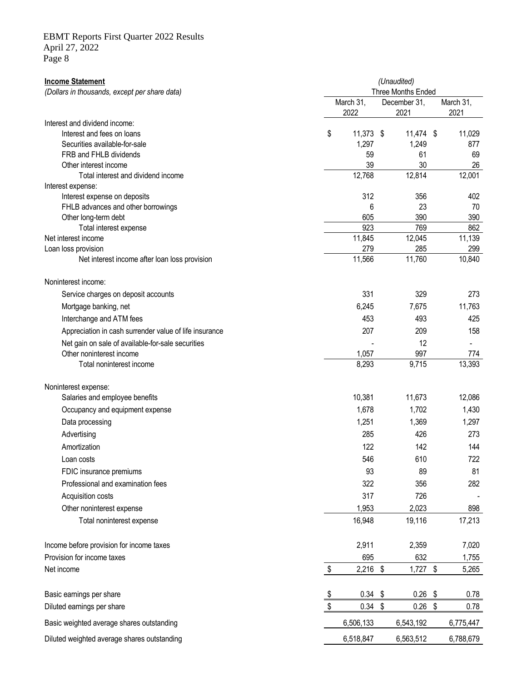# **Income Statement** *(Unaudited) (Dollars in thousands, except per share data)* March 31, December 31, March 31, 2022 2021 2021 Interest and dividend income: Interest and fees on loans **11,029 11,373** \$ 11,474 \$ 11,029 Securities available-for-sale 1,297 1,297 1,249 877 FRB and FHLB dividends 59 61 69 Other interest income 39 30 26 Total interest and dividend income 12,001 and the 12,001 and the 12,001 and the 12,001 and the 12,001 and the 12,001 Interest expense: Interest expense on deposits 312 356 402 FHLB advances and other borrowings and the borrowings and the state of the state of the state of the state of the state of the state of the state of the state of the state of the state of the state of the state of the stat Other long-term debt 605 390 390 Total interest expense 862 862 Net interest income 11,845 12,045 11,139 Loan loss provision 279 285 299 Net interest income after loan loss provision 11,566 11,566 11,760 10,840 Noninterest income: Service charges on deposit accounts **331** 329 273 Mortgage banking, net **6,245** 7,675 11,763 Interchange and ATM fees 425 and ATM fees 453 493 425 Appreciation in cash surrender value of life insurance 207 207 209 209 158 Net gain on sale of available-for-sale securities and the securities of the securities of the securities of the securities of the securities of the securities of the securities of the securities of the securities of the se Other noninterest income 1,057 997 774 Total noninterest income and the state of the state of the state of the state of the state of the state of the state of the state of the state of the state of the state of the state of the state of the state of the state o Noninterest expense: Salaries and employee benefits **10,381** 11,673 12,086 Occupancy and equipment expense 1,678 1,702 1,430 Data processing 1,297 and 1,297 and 1,251 and 1,369 and 1,297 Advertising 285 426 273 Amortization 122 142 144 Loan costs 546 610 722 FDIC insurance premiums 81 89 81 81 81 81 81 82 85 86 81 81 82 85 86 81 81 82 85 86 87 88 81 81 81 81 81 81 81 Professional and examination fees 382 356 356 382 Acquisition costs 317 726 Other noninterest expense 1,953 2,023 898 Total noninterest expense 16,948 19,116 17,213 Income before provision for income taxes 2,911 2,359 7,020 Provision for income taxes 695 632 1,755 Net income \$ 2,216 \$ 1,727 \$ 5,265 Basic earnings per share **being the struck of the struck of the struck of the struck of the struck of the struck of the struck of the struck of the struck of the struck of the struck of the struck of the struck of the stru** Diluted earnings per share **but a controlled earnings** per share **but a controlled earnings** per share **0.78** Basic weighted average shares outstanding example and the state of the G,506,133 6,543,192 6,775,447 Three Months Ended

Diluted weighted average shares outstanding and the control of the control of the 6,563,512 6,788,679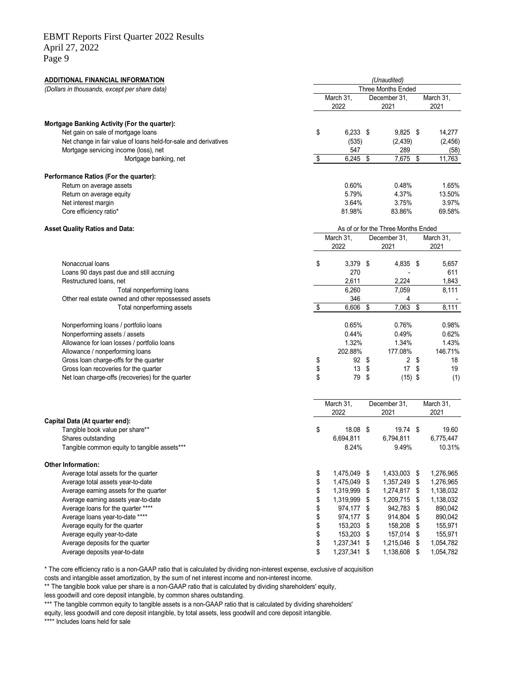# EBMT Reports First Quarter 2022 Results

April 27, 2022 Page 9

**ADDITIONAL FINANCIAL INFORMATION** *(Unaudited) (Dollars in thousands, except per share data)* March 31, December 31, March 31, 2022 2021 2021 **Mortgage Banking Activity (For the quarter):** Net gain on sale of mortgage loans the state of the state of the state of the state of the state of the state of the state of the state of the state of the state of the state of the state of the state of the state of the s Net change in fair value of loans held-for-sale and derivatives (535) (2,439) (2,456) Mortgage servicing income (loss), net 547 547 58) Mortgage banking, net **11,763 b** 11,763 **\$** 11,763 **Performance Ratios (For the quarter):** Return on average assets **1.65%** 1.65% 1.65% 1.65% 1.65% 1.65% 1.65% 1.65% 1.65% 1.65% 1.65% 1.65% 1.65% 1.65% 1.65% Return on average equity 13.50% 13.50% 13.50% 13.50% 13.50% 13.50% 13.50% 13.50% 13.50% 13.50% 13.50% 13.50% 13.50% 13.50% 13.50% 13.50% 13.50% 13.50% 13.50% 13.50% 13.50% 13.50% 13.50% 13.50% 13.50% 13.50% 13.50% 13.50% 1 Net interest margin 3.97% 3.97% 3.97% 3.97% 3.97% 3.97% 3.97% 3.97% 3.97% 3.97% 3.97% 3.97% 3.97% 3.97% 3.97% 3.97% 3.97% 3.97% 3.97% 3.97% 3.97% 3.97% 3.97% 3.97% 3.97% 3.97% 3.97% 3.97% 3.97% 3.97% 3.97% 3.97% 3.97% 3.97 Core efficiency ratio\* 69.58% 83.86% 69.58% 69.58% 83.86% 69.58% 69.58% 69.58% 69.58% 69.58% 69.58% 69.58% 69.58% 69.58% 69.58% 69.58% 69.58% 69.58% 69.58% 69.58% 69.58% 69.58% 69.58% 69.58% 69.58% 69.58% 69.58% 69.58% 69. **Asset Quality Ratios and Data:** March 31, December 31, March 31, 2022 2021 2021 Nonaccrual loans \$ 3,379 \$ 4,835 \$ 5,657 Loans 90 days past due and still accruing 210 and 270 contract and 270 contract 270 contract 270 contract 270 contract 270 contract 270 contract 270 contract 270 contract 270 contract 270 contract 270 contract 270 contract Restructured loans, net 1,843 and 1,843 and 2,611 and 2,224 and 2,224 and 1,843 Total nonperforming loans and the contract of the contract of the contract of the contract of the contract of the contract of the contract of the contract of the contract of the contract of the contract of the contract of Other real estate owned and other repossessed assets 346 4 - Total nonperforming assets 6,606 \$ 7,063 \$ Nonperforming loans / portfolio loans and the control of the control of the control of the control of the control of the control of the control of the control of the control of the control of the control of the control of Nonperforming assets / assets assets of the local control of the control of the control of the control of the control of the control of the control of the control of the control of the control of the control of the control Allowance for loan losses / portfolio loans 1.32% 1.32% 1.34% 1.43% 1.43% 1.43% 1.43% 1.43% 1.43% 1.43% 1.43% 1.43% 1.43% 1.43% 1.43% 1.43% 1.43% 1.52% 1.52% 1.52% 1.52% 1.52% 1.52% 1.52% 1.52% 1.52% 1.52% 1.52% 1.52% 1.52 Allowance / nonperforming loans<br>
Gross loan charge-offs for the quarter the contract of the quarter of the contract of the quarter of the quarter of the contract of the quarter of the contract of the quarter of the contrac Gross loan charge-offs for the quarter Gross loan recoveries for the quarter the the control of the quarter the control of the quarter the control of the control of the control of the control of the control of the quarter the control of the control of the contr Net loan charge-offs (recoveries) for the quarter  $\sim$  8  $\sim$  79 \$ (15) \$ (1) March 31, December 31, March 31,<br>2022 2021 2021 2021 **Capital Data (At quarter end):** Tangible book value per share\*\* https://www.facebook.com/inductory/state=19.000 \$ 19.74 \$ 19.60 Shares outstanding 6,694,811 6,794,811 6,775,447 Tangible common equity to tangible assets\*\*\*  $8.24\%$  9.49% 10.31% **Other Information:** Average total assets for the quarter  $\frac{1}{276,965}$   $\frac{1}{276,965}$   $\frac{1}{276,965}$ Average total assets year-to-date \$ 1,475,049 \$ 1,357,249 \$ 1,276,965 Average earning assets for the quarter  $\frac{1}{31}$  and  $\frac{1}{319}$ ,999  $\frac{1}{319}$ ,999  $\frac{1}{319}$ ,999  $\frac{1}{319}$ ,999  $\frac{1}{319}$  1,138,032 Average earning assets year-to-date \$ 1,319,999 \$ 1,209,715 \$ 1,138,032 Average loans for the quarter \*\*\*\* <br> **Average loans for the quarter \*\*\*\***  $\text{S}$  974,177 \$942,783 \$890,042 Average loans year-to-date \*\*\*\* <br> **Average loans year-to-date \*\*\*\***  $\qquad \qquad \qquad$  **974,177** \$974,177 \$914,804 \$890,042 Average equity for the quarter **155,971 Average equity for the quarter**  $\frac{1}{2}$  **158,203 \$ 158,208 \$ 155,971** Average equity year-to-date **being the set of the set of the set of the set of the set of the set of the set of the set of the set of the set of the set of the set of the set of the set of the set of the set of the set of** Average deposits for the quarter  $\frac{1}{2}$  and  $\frac{1}{2}$  and  $\frac{1}{2}$  and  $\frac{1}{2}$  and  $\frac{1}{2}$  and  $\frac{1}{2}$  and  $\frac{1}{2}$  and  $\frac{1}{2}$  and  $\frac{1}{2}$  and  $\frac{1}{2}$  and  $\frac{1}{2}$  and  $\frac{1}{2}$  and  $\frac{1}{2}$  and  $\frac{1}{2$ Three Months Ended As of or for the Three Months Ended

\* The core efficiency ratio is a non-GAAP ratio that is calculated by dividing non-interest expense, exclusive of acquisition

Average deposits year-to-date  $\qquad \qquad \qquad$  8 1,237,341 \$ 1,138,608 \$ 1,054,782

costs and intangible asset amortization, by the sum of net interest income and non-interest income.

\*\* The tangible book value per share is a non-GAAP ratio that is calculated by dividing shareholders' equity,

less goodwill and core deposit intangible, by common shares outstanding.

\*\*\* The tangible common equity to tangible assets is a non-GAAP ratio that is calculated by dividing shareholders'

equity, less goodwill and core deposit intangible, by total assets, less goodwill and core deposit intangible.

\*\*\*\* Includes loans held for sale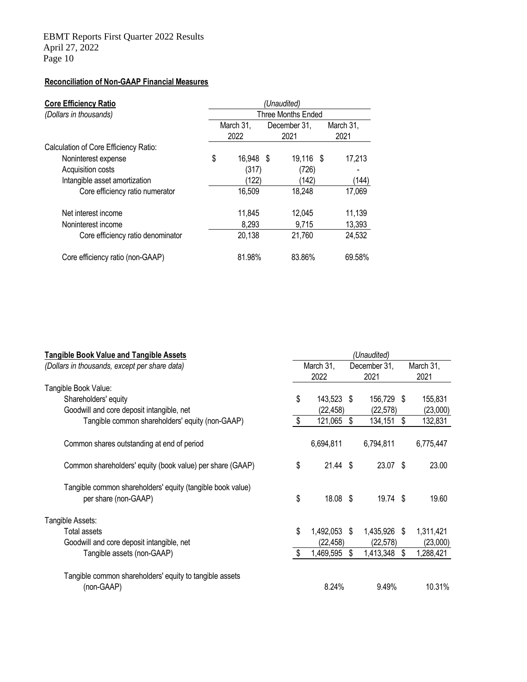# **Reconciliation of Non-GAAP Financial Measures**

| <b>Core Efficiency Ratio</b>          | (Unaudited)               |           |              |           |      |           |
|---------------------------------------|---------------------------|-----------|--------------|-----------|------|-----------|
| (Dollars in thousands)                | <b>Three Months Ended</b> |           |              |           |      |           |
|                                       | March 31,                 |           | December 31, |           |      | March 31, |
|                                       | 2022<br>2021              |           |              |           | 2021 |           |
| Calculation of Core Efficiency Ratio: |                           |           |              |           |      |           |
| Noninterest expense                   | \$                        | 16,948 \$ |              | 19,116 \$ |      | 17,213    |
| Acquisition costs                     |                           | (317)     |              | (726)     |      |           |
| Intangible asset amortization         |                           | (122)     |              | (142)     |      | (144)     |
| Core efficiency ratio numerator       |                           | 16,509    |              | 18,248    |      | 17,069    |
| Net interest income                   |                           | 11,845    |              | 12,045    |      | 11,139    |
| Noninterest income                    |                           | 8,293     |              | 9,715     |      | 13,393    |
| Core efficiency ratio denominator     |                           | 20,138    |              | 21,760    |      | 24,532    |
| Core efficiency ratio (non-GAAP)      |                           | 81.98%    |              | 83.86%    |      | 69.58%    |

| <b>Tangible Book Value and Tangible Assets</b>             | (Unaudited) |              |              |              |           |           |
|------------------------------------------------------------|-------------|--------------|--------------|--------------|-----------|-----------|
| (Dollars in thousands, except per share data)              | March 31,   |              | December 31, |              | March 31, |           |
|                                                            |             | 2022         |              | 2021         |           | 2021      |
| Tangible Book Value:                                       |             |              |              |              |           |           |
| Shareholders' equity                                       | \$          | 143,523 \$   |              | 156,729 \$   |           | 155,831   |
| Goodwill and core deposit intangible, net                  |             | (22, 458)    |              | (22, 578)    |           | (23,000)  |
| Tangible common shareholders' equity (non-GAAP)            | \$          | 121,065      | Ŝ.           | 134,151      | \$        | 132,831   |
| Common shares outstanding at end of period                 |             | 6,694,811    |              | 6,794,811    |           | 6,775,447 |
| Common shareholders' equity (book value) per share (GAAP)  | \$          | $21.44$ \$   |              | 23.07 \$     |           | 23.00     |
| Tangible common shareholders' equity (tangible book value) |             |              |              |              |           |           |
| per share (non-GAAP)                                       | \$          | 18.08 \$     |              | $19.74$ \$   |           | 19.60     |
| Tangible Assets:                                           |             |              |              |              |           |           |
| Total assets                                               | \$          | 1,492,053 \$ |              | 1,435,926 \$ |           | 1,311,421 |
| Goodwill and core deposit intangible, net                  |             | (22, 458)    |              | (22, 578)    |           | (23,000)  |
| Tangible assets (non-GAAP)                                 | \$          | 1,469,595    | S            | 1,413,348    | \$        | 1,288,421 |
| Tangible common shareholders' equity to tangible assets    |             |              |              |              |           |           |
| (non-GAAP)                                                 |             | 8.24%        |              | 9.49%        |           | 10.31%    |